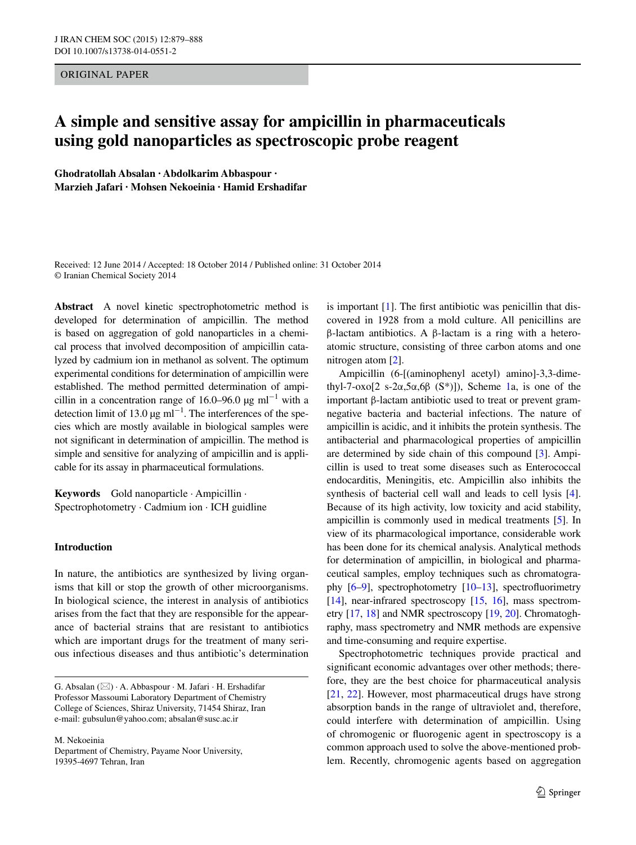ORIGINAL PAPER

# **A simple and sensitive assay for ampicillin in pharmaceuticals using gold nanoparticles as spectroscopic probe reagent**

**Ghodratollah Absalan · Abdolkarim Abbaspour · Marzieh Jafari · Mohsen Nekoeinia · Hamid Ershadifar**

Received: 12 June 2014 / Accepted: 18 October 2014 / Published online: 31 October 2014 © Iranian Chemical Society 2014

**Abstract** A novel kinetic spectrophotometric method is developed for determination of ampicillin. The method is based on aggregation of gold nanoparticles in a chemical process that involved decomposition of ampicillin catalyzed by cadmium ion in methanol as solvent. The optimum experimental conditions for determination of ampicillin were established. The method permitted determination of ampicillin in a concentration range of 16.0–96.0 µg ml<sup>-1</sup> with a detection limit of 13.0  $\mu$ g ml<sup>-1</sup>. The interferences of the species which are mostly available in biological samples were not significant in determination of ampicillin. The method is simple and sensitive for analyzing of ampicillin and is applicable for its assay in pharmaceutical formulations.

**Keywords** Gold nanoparticle · Ampicillin · Spectrophotometry · Cadmium ion · ICH guidline

# **Introduction**

In nature, the antibiotics are synthesized by living organisms that kill or stop the growth of other microorganisms. In biological science, the interest in analysis of antibiotics arises from the fact that they are responsible for the appearance of bacterial strains that are resistant to antibiotics which are important drugs for the treatment of many serious infectious diseases and thus antibiotic's determination

M. Nekoeinia Department of Chemistry, Payame Noor University, 19395-4697 Tehran, Iran

is important [[1\]](#page-8-0). The first antibiotic was penicillin that discovered in 1928 from a mold culture. All penicillins are β-lactam antibiotics. A β-lactam is a ring with a heteroatomic structure, consisting of three carbon atoms and one nitrogen atom [[2\]](#page-8-1).

Ampicillin (6-[(aminophenyl acetyl) amino]-3,3-dime-thyl-7-oxo[2 s-2α,5α,6β (S<sup>\*</sup>)]), Scheme [1a](#page-1-0), is one of the important β-lactam antibiotic used to treat or prevent gramnegative bacteria and bacterial infections. The nature of ampicillin is acidic, and it inhibits the protein synthesis. The antibacterial and pharmacological properties of ampicillin are determined by side chain of this compound [[3\]](#page-8-2). Ampicillin is used to treat some diseases such as Enterococcal endocarditis, Meningitis, etc. Ampicillin also inhibits the synthesis of bacterial cell wall and leads to cell lysis [[4](#page-8-3)]. Because of its high activity, low toxicity and acid stability, ampicillin is commonly used in medical treatments [[5\]](#page-8-4). In view of its pharmacological importance, considerable work has been done for its chemical analysis. Analytical methods for determination of ampicillin, in biological and pharmaceutical samples, employ techniques such as chromatography [[6–](#page-8-5)[9\]](#page-8-6), spectrophotometry [\[10–](#page-8-7)[13\]](#page-8-8), spectrofluorimetry [\[14](#page-8-9)], near-infrared spectroscopy [\[15,](#page-8-10) [16\]](#page-8-11), mass spectrometry [\[17](#page-8-12), [18](#page-8-13)] and NMR spectroscopy [\[19](#page-8-14), [20](#page-8-15)]. Chromatoghraphy, mass spectrometry and NMR methods are expensive and time-consuming and require expertise.

Spectrophotometric techniques provide practical and significant economic advantages over other methods; therefore, they are the best choice for pharmaceutical analysis [\[21](#page-8-16), [22](#page-8-17)]. However, most pharmaceutical drugs have strong absorption bands in the range of ultraviolet and, therefore, could interfere with determination of ampicillin. Using of chromogenic or fluorogenic agent in spectroscopy is a common approach used to solve the above-mentioned problem. Recently, chromogenic agents based on aggregation

G. Absalan (\*) · A. Abbaspour · M. Jafari · H. Ershadifar Professor Massoumi Laboratory Department of Chemistry College of Sciences, Shiraz University, 71454 Shiraz, Iran e-mail: gubsulun@yahoo.com; absalan@susc.ac.ir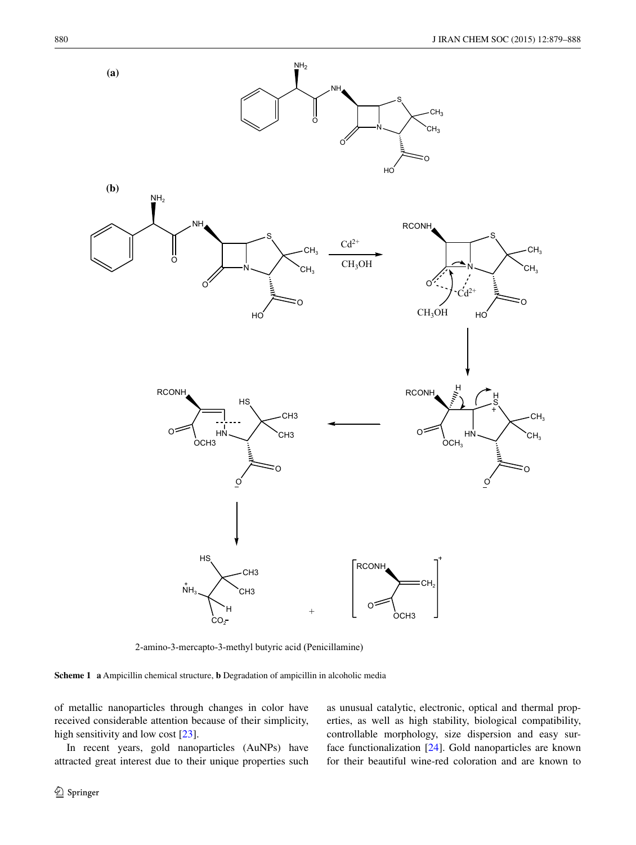

2-amino-3-mercapto-3-methyl butyric acid (Penicillamine)

<span id="page-1-0"></span>**Scheme 1 a** Ampicillin chemical structure, **b** Degradation of ampicillin in alcoholic media

of metallic nanoparticles through changes in color have received considerable attention because of their simplicity, high sensitivity and low cost [[23\]](#page-9-0).

In recent years, gold nanoparticles (AuNPs) have attracted great interest due to their unique properties such

<sup>2</sup> Springer

as unusual catalytic, electronic, optical and thermal properties, as well as high stability, biological compatibility, controllable morphology, size dispersion and easy surface functionalization [\[24](#page-9-1)]. Gold nanoparticles are known for their beautiful wine-red coloration and are known to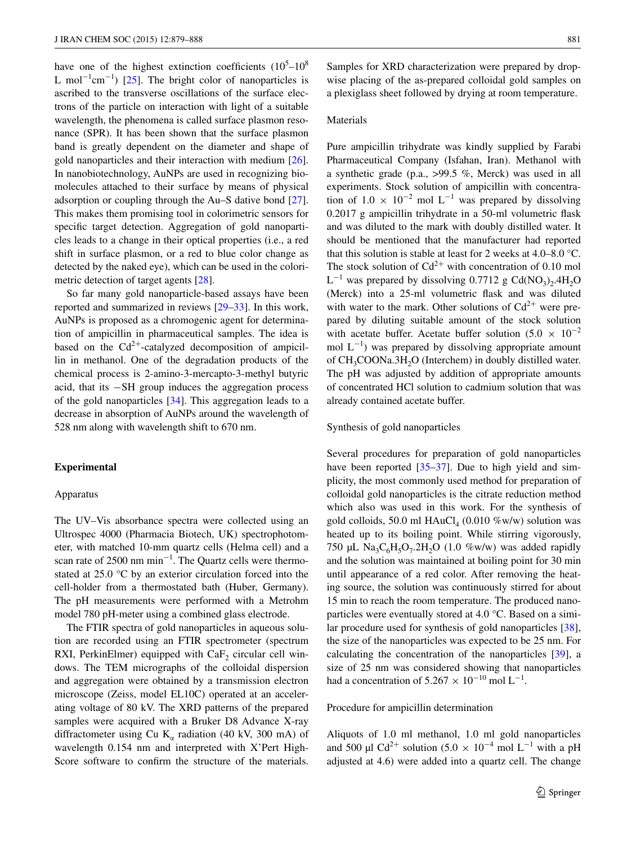have one of the highest extinction coefficients  $(10^5 - 10^8)$ L mol<sup>-1</sup>cm<sup>-1</sup>) [\[25](#page-9-2)]. The bright color of nanoparticles is ascribed to the transverse oscillations of the surface electrons of the particle on interaction with light of a suitable wavelength, the phenomena is called surface plasmon resonance (SPR). It has been shown that the surface plasmon band is greatly dependent on the diameter and shape of gold nanoparticles and their interaction with medium [\[26](#page-9-3)]. In nanobiotechnology, AuNPs are used in recognizing biomolecules attached to their surface by means of physical adsorption or coupling through the Au–S dative bond [\[27](#page-9-4)]. This makes them promising tool in colorimetric sensors for specific target detection. Aggregation of gold nanoparticles leads to a change in their optical properties (i.e., a red shift in surface plasmon, or a red to blue color change as detected by the naked eye), which can be used in the colorimetric detection of target agents [[28\]](#page-9-5).

So far many gold nanoparticle-based assays have been reported and summarized in reviews [[29–](#page-9-6)[33\]](#page-9-7). In this work, AuNPs is proposed as a chromogenic agent for determination of ampicillin in pharmaceutical samples. The idea is based on the  $Cd^{2+}$ -catalyzed decomposition of ampicillin in methanol. One of the degradation products of the chemical process is 2-amino-3-mercapto-3-methyl butyric acid, that its −SH group induces the aggregation process of the gold nanoparticles [\[34](#page-9-8)]. This aggregation leads to a decrease in absorption of AuNPs around the wavelength of 528 nm along with wavelength shift to 670 nm.

# **Experimental**

#### Apparatus

The UV–Vis absorbance spectra were collected using an Ultrospec 4000 (Pharmacia Biotech, UK) spectrophotometer, with matched 10-mm quartz cells (Helma cell) and a scan rate of 2500 nm min<sup>-1</sup>. The Quartz cells were thermostated at 25.0 °C by an exterior circulation forced into the cell-holder from a thermostated bath (Huber, Germany). The pH measurements were performed with a Metrohm model 780 pH-meter using a combined glass electrode.

The FTIR spectra of gold nanoparticles in aqueous solution are recorded using an FTIR spectrometer (spectrum RXI, PerkinElmer) equipped with  $CaF<sub>2</sub>$  circular cell windows. The TEM micrographs of the colloidal dispersion and aggregation were obtained by a transmission electron microscope (Zeiss, model EL10C) operated at an accelerating voltage of 80 kV. The XRD patterns of the prepared samples were acquired with a Bruker D8 Advance X-ray diffractometer using Cu  $K_{\alpha}$  radiation (40 kV, 300 mA) of wavelength 0.154 nm and interpreted with X'Pert High-Score software to confirm the structure of the materials.

Samples for XRD characterization were prepared by dropwise placing of the as-prepared colloidal gold samples on a plexiglass sheet followed by drying at room temperature.

#### Materials

Pure ampicillin trihydrate was kindly supplied by Farabi Pharmaceutical Company (Isfahan, Iran). Methanol with a synthetic grade (p.a., >99.5 %, Merck) was used in all experiments. Stock solution of ampicillin with concentration of  $1.0 \times 10^{-2}$  mol L<sup>-1</sup> was prepared by dissolving 0.2017 g ampicillin trihydrate in a 50-ml volumetric flask and was diluted to the mark with doubly distilled water. It should be mentioned that the manufacturer had reported that this solution is stable at least for 2 weeks at 4.0–8.0 °C. The stock solution of  $Cd^{2+}$  with concentration of 0.10 mol  $L^{-1}$  was prepared by dissolving 0.7712 g Cd(NO<sub>3</sub>)<sub>2</sub>.4H<sub>2</sub>O (Merck) into a 25-ml volumetric flask and was diluted with water to the mark. Other solutions of  $Cd^{2+}$  were prepared by diluting suitable amount of the stock solution with acetate buffer. Acetate buffer solution (5.0  $\times$  10<sup>-2</sup> mol  $L^{-1}$ ) was prepared by dissolving appropriate amount of CH<sub>3</sub>COONa.3H<sub>2</sub>O (Interchem) in doubly distilled water. The pH was adjusted by addition of appropriate amounts of concentrated HCl solution to cadmium solution that was already contained acetate buffer.

#### Synthesis of gold nanoparticles

Several procedures for preparation of gold nanoparticles have been reported [\[35](#page-9-9)[–37](#page-9-10)]. Due to high yield and simplicity, the most commonly used method for preparation of colloidal gold nanoparticles is the citrate reduction method which also was used in this work. For the synthesis of gold colloids, 50.0 ml  $HAuCl<sub>4</sub>$  (0.010 %w/w) solution was heated up to its boiling point. While stirring vigorously, 750 µL Na<sub>3</sub>C<sub>6</sub>H<sub>5</sub>O<sub>7</sub>.2H<sub>2</sub>O (1.0 %w/w) was added rapidly and the solution was maintained at boiling point for 30 min until appearance of a red color. After removing the heating source, the solution was continuously stirred for about 15 min to reach the room temperature. The produced nanoparticles were eventually stored at 4.0 °C. Based on a similar procedure used for synthesis of gold nanoparticles [\[38](#page-9-11)], the size of the nanoparticles was expected to be 25 nm. For calculating the concentration of the nanoparticles [[39\]](#page-9-12), a size of 25 nm was considered showing that nanoparticles had a concentration of  $5.267 \times 10^{-10}$  mol L<sup>-1</sup>.

#### Procedure for ampicillin determination

Aliquots of 1.0 ml methanol, 1.0 ml gold nanoparticles and 500 µl Cd<sup>2+</sup> solution (5.0  $\times$  10<sup>-4</sup> mol L<sup>-1</sup> with a pH adjusted at 4.6) were added into a quartz cell. The change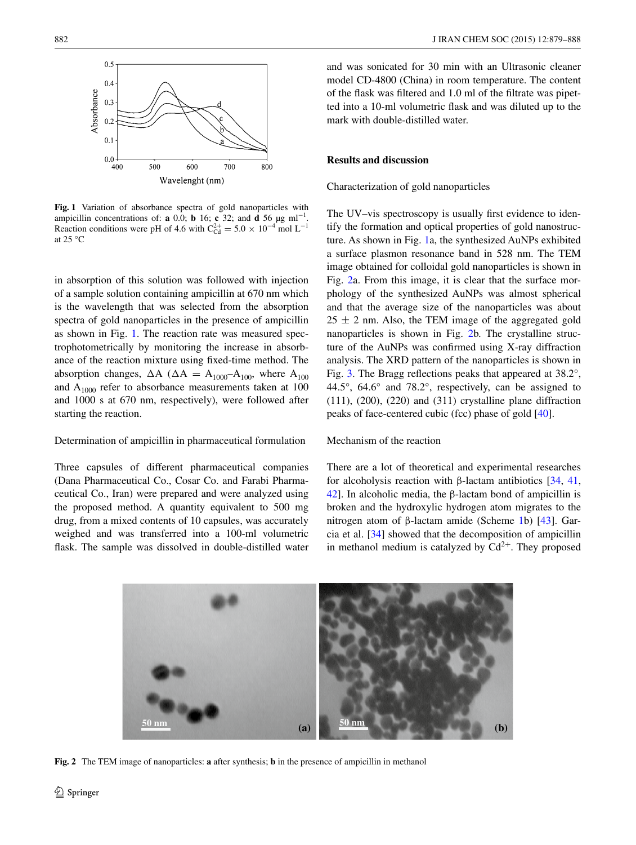

<span id="page-3-0"></span>**Fig. 1** Variation of absorbance spectra of gold nanoparticles with ampicillin concentrations of: **a** 0.0; **b** 16; **c** 32; and **d** 56  $\mu$ g ml<sup>-1</sup>. Reaction conditions were pH of 4.6 with  $C_{\text{Cd}}^{2+} = 5.0 \times 10^{-4}$  mol L<sup>-1</sup> at 25 $\mathrm{^{\circ}C}$ 

in absorption of this solution was followed with injection of a sample solution containing ampicillin at 670 nm which is the wavelength that was selected from the absorption spectra of gold nanoparticles in the presence of ampicillin as shown in Fig. [1.](#page-3-0) The reaction rate was measured spectrophotometrically by monitoring the increase in absorbance of the reaction mixture using fixed-time method. The absorption changes,  $\Delta A$  ( $\Delta A = A_{1000} - A_{100}$ , where  $A_{100}$ and  $A_{1000}$  refer to absorbance measurements taken at 100 and 1000 s at 670 nm, respectively), were followed after starting the reaction.

#### Determination of ampicillin in pharmaceutical formulation

Three capsules of different pharmaceutical companies (Dana Pharmaceutical Co., Cosar Co. and Farabi Pharmaceutical Co., Iran) were prepared and were analyzed using the proposed method. A quantity equivalent to 500 mg drug, from a mixed contents of 10 capsules, was accurately weighed and was transferred into a 100-ml volumetric flask. The sample was dissolved in double-distilled water and was sonicated for 30 min with an Ultrasonic cleaner model CD-4800 (China) in room temperature. The content of the flask was filtered and 1.0 ml of the filtrate was pipetted into a 10-ml volumetric flask and was diluted up to the mark with double-distilled water.

#### **Results and discussion**

Characterization of gold nanoparticles

The UV–vis spectroscopy is usually first evidence to identify the formation and optical properties of gold nanostructure. As shown in Fig. [1](#page-3-0)a, the synthesized AuNPs exhibited a surface plasmon resonance band in 528 nm. The TEM image obtained for colloidal gold nanoparticles is shown in Fig. [2a](#page-3-1). From this image, it is clear that the surface morphology of the synthesized AuNPs was almost spherical and that the average size of the nanoparticles was about  $25 \pm 2$  nm. Also, the TEM image of the aggregated gold nanoparticles is shown in Fig. [2b](#page-3-1). The crystalline structure of the AuNPs was confirmed using X-ray diffraction analysis. The XRD pattern of the nanoparticles is shown in Fig. [3](#page-4-0). The Bragg reflections peaks that appeared at 38.2°, 44.5°, 64.6° and 78.2°, respectively, can be assigned to (111), (200), (220) and (311) crystalline plane diffraction peaks of face-centered cubic (fcc) phase of gold [[40\]](#page-9-13).

## Mechanism of the reaction

There are a lot of theoretical and experimental researches for alcoholysis reaction with β-lactam antibiotics [\[34](#page-9-8), [41,](#page-9-14) [42](#page-9-15)]. In alcoholic media, the β-lactam bond of ampicillin is broken and the hydroxylic hydrogen atom migrates to the nitrogen atom of β-lactam amide (Scheme [1b](#page-1-0)) [\[43](#page-9-16)]. Garcia et al. [\[34](#page-9-8)] showed that the decomposition of ampicillin in methanol medium is catalyzed by  $Cd^{2+}$ . They proposed



<span id="page-3-1"></span>**Fig. 2** The TEM image of nanoparticles: **a** after synthesis; **b** in the presence of ampicillin in methanol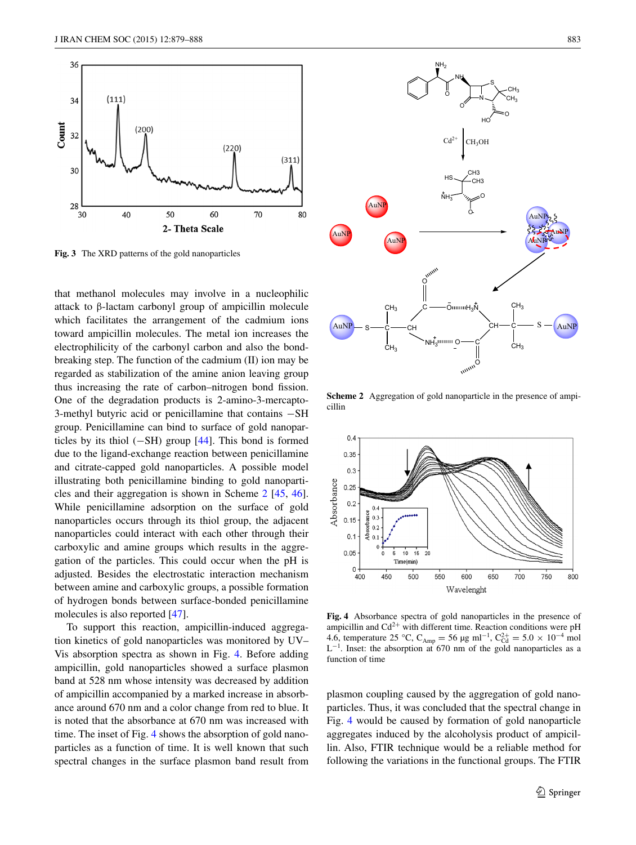

<span id="page-4-0"></span>**Fig. 3** The XRD patterns of the gold nanoparticles

that methanol molecules may involve in a nucleophilic attack to β-lactam carbonyl group of ampicillin molecule which facilitates the arrangement of the cadmium ions toward ampicillin molecules. The metal ion increases the electrophilicity of the carbonyl carbon and also the bondbreaking step. The function of the cadmium (II) ion may be regarded as stabilization of the amine anion leaving group thus increasing the rate of carbon–nitrogen bond fission. One of the degradation products is 2-amino-3-mercapto-3-methyl butyric acid or penicillamine that contains −SH group. Penicillamine can bind to surface of gold nanoparticles by its thiol  $(-SH)$  group [[44\]](#page-9-17). This bond is formed due to the ligand-exchange reaction between penicillamine and citrate-capped gold nanoparticles. A possible model illustrating both penicillamine binding to gold nanoparticles and their aggregation is shown in Scheme [2](#page-4-1) [\[45](#page-9-18), [46](#page-9-19)]. While penicillamine adsorption on the surface of gold nanoparticles occurs through its thiol group, the adjacent nanoparticles could interact with each other through their carboxylic and amine groups which results in the aggregation of the particles. This could occur when the pH is adjusted. Besides the electrostatic interaction mechanism between amine and carboxylic groups, a possible formation of hydrogen bonds between surface-bonded penicillamine molecules is also reported [\[47](#page-9-20)].

To support this reaction, ampicillin-induced aggregation kinetics of gold nanoparticles was monitored by UV– Vis absorption spectra as shown in Fig. [4.](#page-4-2) Before adding ampicillin, gold nanoparticles showed a surface plasmon band at 528 nm whose intensity was decreased by addition of ampicillin accompanied by a marked increase in absorbance around 670 nm and a color change from red to blue. It is noted that the absorbance at 670 nm was increased with time. The inset of Fig. [4](#page-4-2) shows the absorption of gold nanoparticles as a function of time. It is well known that such spectral changes in the surface plasmon band result from



AuNP

ċ— s

CH<sub>3</sub>

CH<sub>3</sub>

CH

C  $\epsilon$ 

AuNP

<span id="page-4-1"></span>**Scheme 2** Aggregation of gold nanoparticle in the presence of ampicillin

NH<sub>3</sub>IIIIIIII O

OmmuH<sub>3</sub>N

 $A$ uNP  $-S$   $\stackrel{\sim}{\sim}$   $\stackrel{\sim}{\sim}$   $\stackrel{\sim}{\sim}$   $\stackrel{\sim}{\sim}$   $\stackrel{\sim}{\sim}$   $\stackrel{\sim}{\sim}$   $\stackrel{\sim}{\sim}$   $\stackrel{\sim}{\sim}$   $\stackrel{\sim}{\sim}$   $\stackrel{\sim}{\sim}$   $\stackrel{\sim}{\sim}$   $\stackrel{\sim}{\sim}$   $\stackrel{\sim}{\sim}$   $\stackrel{\sim}{\sim}$   $\stackrel{\sim}{\sim}$   $\stackrel{\sim}{\sim}$   $\stackrel{\sim}{\sim}$   $\stackrel{\sim$ 

AuNP

s—c

 $CH<sub>3</sub>$ 

CH<sub>3</sub>

CH

O

AuN<sub>1</sub>

AuNP



<span id="page-4-2"></span>**Fig. 4** Absorbance spectra of gold nanoparticles in the presence of ampicillin and  $Cd^{2+}$  with different time. Reaction conditions were pH 4.6, temperature 25 °C, C<sub>Amp</sub> = 56 µg ml<sup>-1</sup>, C<sub>Cd</sub><sup>2+</sup> = 5.0 × 10<sup>-4</sup> mol  $L^{-1}$ . Inset: the absorption at 670 nm of the gold nanoparticles as a function of time

plasmon coupling caused by the aggregation of gold nanoparticles. Thus, it was concluded that the spectral change in Fig. [4](#page-4-2) would be caused by formation of gold nanoparticle aggregates induced by the alcoholysis product of ampicillin. Also, FTIR technique would be a reliable method for following the variations in the functional groups. The FTIR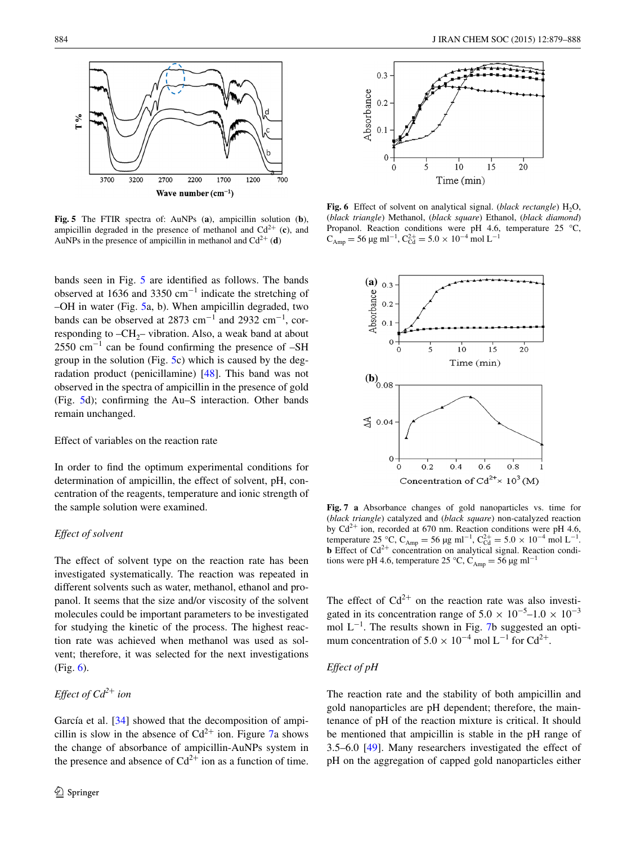

<span id="page-5-0"></span>**Fig. 5** The FTIR spectra of: AuNPs (**a**), ampicillin solution (**b**), ampicillin degraded in the presence of methanol and  $Cd^{2+}$  (c), and AuNPs in the presence of ampicillin in methanol and  $Cd^{2+}$  (**d**)

bands seen in Fig. [5](#page-5-0) are identified as follows. The bands observed at 1636 and 3350 cm−<sup>1</sup> indicate the stretching of –OH in water (Fig. [5](#page-5-0)a, b). When ampicillin degraded, two bands can be observed at 2873 cm<sup>-1</sup> and 2932 cm<sup>-1</sup>, corresponding to  $-CH_2$ – vibration. Also, a weak band at about  $2550 \text{ cm}^{-1}$  can be found confirming the presence of  $-SH$ group in the solution (Fig. [5c](#page-5-0)) which is caused by the degradation product (penicillamine) [\[48](#page-9-21)]. This band was not observed in the spectra of ampicillin in the presence of gold (Fig. [5d](#page-5-0)); confirming the Au–S interaction. Other bands remain unchanged.

# Effect of variables on the reaction rate

In order to find the optimum experimental conditions for determination of ampicillin, the effect of solvent, pH, concentration of the reagents, temperature and ionic strength of the sample solution were examined.

## *Effect of solvent*

The effect of solvent type on the reaction rate has been investigated systematically. The reaction was repeated in different solvents such as water, methanol, ethanol and propanol. It seems that the size and/or viscosity of the solvent molecules could be important parameters to be investigated for studying the kinetic of the process. The highest reaction rate was achieved when methanol was used as solvent; therefore, it was selected for the next investigations (Fig. [6\)](#page-5-1).

# *Effect of Cd<sup>2</sup>*+ *ion*

García et al. [[34\]](#page-9-8) showed that the decomposition of ampicillin is slow in the absence of  $Cd^{2+}$  ion. Figure [7a](#page-5-2) shows the change of absorbance of ampicillin-AuNPs system in the presence and absence of  $Cd^{2+}$  ion as a function of time.



<span id="page-5-1"></span>**Fig.** 6 Effect of solvent on analytical signal. (*black rectangle*) H<sub>2</sub>O, (*black triangle*) Methanol, (*black square*) Ethanol, (*black diamond*) Propanol. Reaction conditions were pH 4.6, temperature 25 °C,  $C_{Amp} = 56 \,\text{µg} \text{ ml}^{-1}, C_{Cd}^{2+} = 5.0 \times 10^{-4} \text{ mol } L^{-1}$ 



<span id="page-5-2"></span>**Fig. 7 a** Absorbance changes of gold nanoparticles vs. time for (*black triangle*) catalyzed and (*black square*) non-catalyzed reaction by  $Cd^{2+}$  ion, recorded at 670 nm. Reaction conditions were pH 4.6, temperature 25 °C, C<sub>Amp</sub> = 56 µg ml<sup>-1</sup>, C<sub>Cd</sub><sup>+</sup> = 5.0 × 10<sup>-4</sup> mol L<sup>-1</sup>. **b** Effect of  $Cd^{2+}$  concentration on analytical signal. Reaction conditions were pH 4.6, temperature 25 °C, C<sub>Amp</sub> = 56 µg ml<sup>-1</sup>

The effect of  $Cd^{2+}$  on the reaction rate was also investigated in its concentration range of  $5.0 \times 10^{-5}$ – $1.0 \times 10^{-3}$ mol L<sup>-1</sup>. The results shown in Fig. [7b](#page-5-2) suggested an optimum concentration of  $5.0 \times 10^{-4}$  mol L<sup>-1</sup> for Cd<sup>2+</sup>.

# *Effect of pH*

The reaction rate and the stability of both ampicillin and gold nanoparticles are pH dependent; therefore, the maintenance of pH of the reaction mixture is critical. It should be mentioned that ampicillin is stable in the pH range of 3.5–6.0 [[49\]](#page-9-22). Many researchers investigated the effect of pH on the aggregation of capped gold nanoparticles either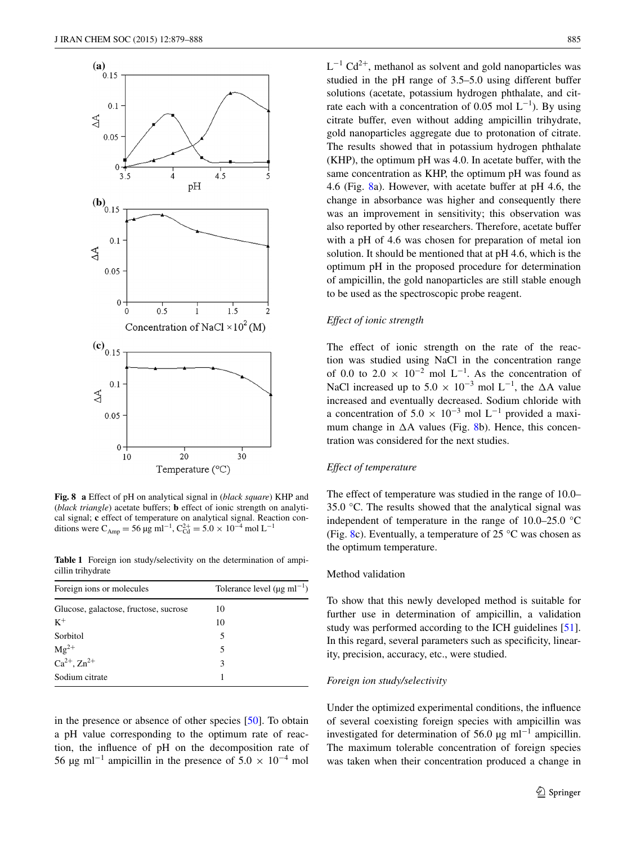

<span id="page-6-0"></span>**Fig. 8 a** Effect of pH on analytical signal in (*black square*) KHP and (*black triangle*) acetate buffers; **b** effect of ionic strength on analytical signal; **c** effect of temperature on analytical signal. Reaction conditions were C<sub>Amp</sub> = 56 µg ml<sup>-1</sup>, C<sub>Cd</sub><sup>+</sup> = 5.0 × 10<sup>-4</sup> mol L<sup>-1</sup>

<span id="page-6-1"></span>**Table 1** Foreign ion study/selectivity on the determination of ampicillin trihydrate

| Foreign ions or molecules             | Tolerance level $(\mu g \text{ ml}^{-1})$ |
|---------------------------------------|-------------------------------------------|
| Glucose, galactose, fructose, sucrose | 10                                        |
| $K^+$                                 | 10                                        |
| Sorbitol                              | 5                                         |
| $\text{Mg}^{2+}$                      | 5                                         |
| $Ca^{2+}$ , $Zn^{2+}$                 | 3                                         |
| Sodium citrate                        |                                           |

in the presence or absence of other species [[50\]](#page-9-23). To obtain a pH value corresponding to the optimum rate of reaction, the influence of pH on the decomposition rate of 56 µg ml<sup>-1</sup> ampicillin in the presence of  $5.0 \times 10^{-4}$  mol

 $L^{-1}$  Cd<sup>2+</sup>, methanol as solvent and gold nanoparticles was studied in the pH range of 3.5–5.0 using different buffer solutions (acetate, potassium hydrogen phthalate, and citrate each with a concentration of 0.05 mol  $L^{-1}$ ). By using citrate buffer, even without adding ampicillin trihydrate, gold nanoparticles aggregate due to protonation of citrate. The results showed that in potassium hydrogen phthalate (KHP), the optimum pH was 4.0. In acetate buffer, with the same concentration as KHP, the optimum pH was found as 4.6 (Fig. [8](#page-6-0)a). However, with acetate buffer at pH 4.6, the change in absorbance was higher and consequently there was an improvement in sensitivity; this observation was also reported by other researchers. Therefore, acetate buffer with a pH of 4.6 was chosen for preparation of metal ion solution. It should be mentioned that at pH 4.6, which is the optimum pH in the proposed procedure for determination of ampicillin, the gold nanoparticles are still stable enough to be used as the spectroscopic probe reagent.

### *Effect of ionic strength*

The effect of ionic strength on the rate of the reaction was studied using NaCl in the concentration range of 0.0 to 2.0  $\times$  10<sup>-2</sup> mol L<sup>-1</sup>. As the concentration of NaCl increased up to  $5.0 \times 10^{-3}$  mol L<sup>-1</sup>, the  $\Delta$ A value increased and eventually decreased. Sodium chloride with a concentration of  $5.0 \times 10^{-3}$  mol L<sup>-1</sup> provided a maximum change in  $\Delta A$  values (Fig. [8b](#page-6-0)). Hence, this concentration was considered for the next studies.

# *Effect of temperature*

The effect of temperature was studied in the range of 10.0– 35.0 °C. The results showed that the analytical signal was independent of temperature in the range of 10.0–25.0 °C (Fig. [8c](#page-6-0)). Eventually, a temperature of  $25^{\circ}$ C was chosen as the optimum temperature.

#### Method validation

To show that this newly developed method is suitable for further use in determination of ampicillin, a validation study was performed according to the ICH guidelines [\[51](#page-9-24)]. In this regard, several parameters such as specificity, linearity, precision, accuracy, etc., were studied.

# *Foreign ion study/selectivity*

Under the optimized experimental conditions, the influence of several coexisting foreign species with ampicillin was investigated for determination of 56.0  $\mu$ g ml<sup>-1</sup> ampicillin. The maximum tolerable concentration of foreign species was taken when their concentration produced a change in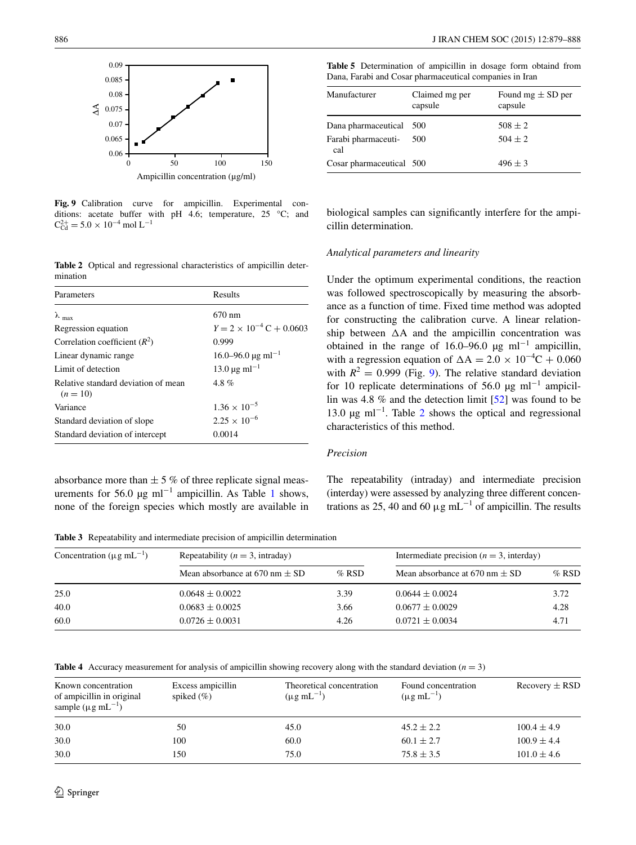

<span id="page-7-0"></span>**Fig. 9** Calibration curve for ampicillin. Experimental conditions: acetate buffer with pH 4.6; temperature, 25 °C; and  $C_{\text{Cd}}^{2+} = 5.0 \times 10^{-4} \text{ mol L}^{-1}$ 

<span id="page-7-1"></span>**Table 2** Optical and regressional characteristics of ampicillin determination

| Parameters                                        | Results                                   |
|---------------------------------------------------|-------------------------------------------|
| $\lambda$ <sub>max</sub>                          | 670 nm                                    |
| Regression equation                               | $Y = 2 \times 10^{-4} \text{ C} + 0.0603$ |
| Correlation coefficient $(R^2)$                   | 0.999                                     |
| Linear dynamic range                              | $16.0 - 96.0 \,\mathrm{\upmu g\,ml}^{-1}$ |
| Limit of detection                                | $13.0 \,\mathrm{\mu g\,ml}^{-1}$          |
| Relative standard deviation of mean<br>$(n = 10)$ | $4.8\%$                                   |
| Variance                                          | $1.36 \times 10^{-5}$                     |
| Standard deviation of slope                       | $2.25 \times 10^{-6}$                     |
| Standard deviation of intercept                   | 0.0014                                    |

absorbance more than  $\pm$  5 % of three replicate signal meas-urements for 56.0 µg ml<sup>-1</sup> ampicillin. As Table [1](#page-6-1) shows, none of the foreign species which mostly are available in

886 J IRAN CHEM SOC (2015) 12:879–888

<span id="page-7-4"></span>

|  |  | <b>Table 5</b> Determination of ampicillin in dosage form obtaind from |  |  |  |
|--|--|------------------------------------------------------------------------|--|--|--|
|  |  | Dana, Farabi and Cosar pharmaceutical companies in Iran                |  |  |  |

| Manufacturer               | Claimed mg per<br>capsule | Found mg $\pm$ SD per<br>capsule |
|----------------------------|---------------------------|----------------------------------|
| Dana pharmaceutical 500    |                           | $508 \pm 2$                      |
| Farabi pharmaceuti-<br>cal | 500                       | $504 + 2$                        |
| Cosar pharmaceutical 500   |                           | $496 + 3$                        |

biological samples can significantly interfere for the ampicillin determination.

#### *Analytical parameters and linearity*

Under the optimum experimental conditions, the reaction was followed spectroscopically by measuring the absorbance as a function of time. Fixed time method was adopted for constructing the calibration curve. A linear relationship between  $\Delta A$  and the ampicillin concentration was obtained in the range of 16.0–96.0 µg ml<sup>-1</sup> ampicillin, with a regression equation of  $\Delta A = 2.0 \times 10^{-4}C + 0.060$ with  $R^2 = 0.999$  $R^2 = 0.999$  $R^2 = 0.999$  (Fig. 9). The relative standard deviation for 10 replicate determinations of 56.0 µg ml<sup>-1</sup> ampicillin was 4.8 % and the detection limit [[52\]](#page-9-25) was found to be 13.0 μg ml<sup>-1</sup>. Table [2](#page-7-1) shows the optical and regressional characteristics of this method.

# *Precision*

The repeatability (intraday) and intermediate precision (interday) were assessed by analyzing three different concentrations as 25, 40 and 60  $\mu$ g mL<sup>-1</sup> of ampicillin. The results

<span id="page-7-2"></span>**Table 3** Repeatability and intermediate precision of ampicillin determination

| Concentration ( $\mu$ g mL <sup>-1</sup> ) | Repeatability ( $n = 3$ , intraday) |         | Intermediate precision ( $n = 3$ , interday) |         |  |
|--------------------------------------------|-------------------------------------|---------|----------------------------------------------|---------|--|
|                                            | Mean absorbance at 670 nm $\pm$ SD  | $%$ RSD | Mean absorbance at 670 nm $\pm$ SD           | $%$ RSD |  |
| 25.0                                       | $0.0648 \pm 0.0022$                 | 3.39    | $0.0644 \pm 0.0024$                          | 3.72    |  |
| 40.0                                       | $0.0683 \pm 0.0025$                 | 3.66    | $0.0677 \pm 0.0029$                          | 4.28    |  |
| 60.0                                       | $0.0726 \pm 0.0031$                 | 4.26    | $0.0721 \pm 0.0034$                          | 4.71    |  |

<span id="page-7-3"></span>**Table 4** Accuracy measurement for analysis of ampicillin showing recovery along with the standard deviation (*n* = 3)

| Known concentration<br>of ampicillin in original<br>sample ( $\mu$ g mL <sup>-1</sup> ) | Excess ampicillin<br>spiked $(\% )$ | Theoretical concentration<br>$(\mu g \text{ mL}^{-1})$ | Found concentration<br>$(\mu g \, mL^{-1})$ | $Recovery \pm RSD$ |
|-----------------------------------------------------------------------------------------|-------------------------------------|--------------------------------------------------------|---------------------------------------------|--------------------|
| 30.0                                                                                    | 50                                  | 45.0                                                   | $45.2 \pm 2.2$                              | $100.4 \pm 4.9$    |
| 30.0                                                                                    | 100                                 | 60.0                                                   | $60.1 \pm 2.7$                              | $100.9 \pm 4.4$    |
| 30.0                                                                                    | 150                                 | 75.0                                                   | $75.8 \pm 3.5$                              | $101.0 \pm 4.6$    |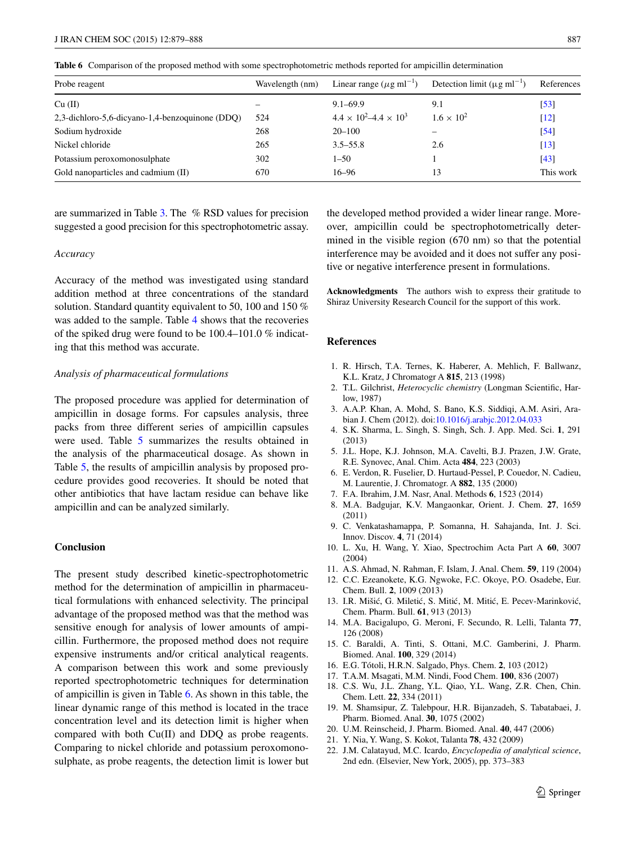<span id="page-8-18"></span>**Table 6** Comparison of the proposed method with some spectrophotometric methods reported for ampicillin determination

| Probe reagent                                   | Wavelength (nm) | Linear range ( $\mu$ g ml <sup>-1</sup> ) | Detection limit ( $\mu$ g ml <sup>-1</sup> ) | References         |
|-------------------------------------------------|-----------------|-------------------------------------------|----------------------------------------------|--------------------|
| Cu (II)                                         |                 | $9.1 - 69.9$                              | 9.1                                          | $\left[53\right]$  |
| 2,3-dichloro-5,6-dicyano-1,4-benzoquinone (DDQ) | 524             | $4.4 \times 10^2 - 4.4 \times 10^3$       | $1.6 \times 10^{2}$                          | $\lceil 12 \rceil$ |
| Sodium hydroxide                                | 268             | $20 - 100$                                |                                              | $\left[54\right]$  |
| Nickel chloride                                 | 265             | $3.5 - 55.8$                              | 2.6                                          | $\lceil 13 \rceil$ |
| Potassium peroxomonosulphate                    | 302             | $1 - 50$                                  |                                              | [43]               |
| Gold nanoparticles and cadmium (II)             | 670             | $16 - 96$                                 | 13                                           | This work          |

are summarized in Table [3.](#page-7-2) The % RSD values for precision suggested a good precision for this spectrophotometric assay.

## *Accuracy*

Accuracy of the method was investigated using standard addition method at three concentrations of the standard solution. Standard quantity equivalent to 50, 100 and 150  $%$ was added to the sample. Table [4](#page-7-3) shows that the recoveries of the spiked drug were found to be 100.4–101.0 % indicating that this method was accurate.

## *Analysis of pharmaceutical formulations*

The proposed procedure was applied for determination of ampicillin in dosage forms. For capsules analysis, three packs from three different series of ampicillin capsules were used. Table [5](#page-7-4) summarizes the results obtained in the analysis of the pharmaceutical dosage. As shown in Table [5,](#page-7-4) the results of ampicillin analysis by proposed procedure provides good recoveries. It should be noted that other antibiotics that have lactam residue can behave like ampicillin and can be analyzed similarly.

# **Conclusion**

The present study described kinetic-spectrophotometric method for the determination of ampicillin in pharmaceutical formulations with enhanced selectivity. The principal advantage of the proposed method was that the method was sensitive enough for analysis of lower amounts of ampicillin. Furthermore, the proposed method does not require expensive instruments and/or critical analytical reagents. A comparison between this work and some previously reported spectrophotometric techniques for determination of ampicillin is given in Table [6](#page-8-18). As shown in this table, the linear dynamic range of this method is located in the trace concentration level and its detection limit is higher when compared with both Cu(II) and DDQ as probe reagents. Comparing to nickel chloride and potassium peroxomonosulphate, as probe reagents, the detection limit is lower but the developed method provided a wider linear range. Moreover, ampicillin could be spectrophotometrically determined in the visible region (670 nm) so that the potential interference may be avoided and it does not suffer any positive or negative interference present in formulations.

**Acknowledgments** The authors wish to express their gratitude to Shiraz University Research Council for the support of this work.

## **References**

- <span id="page-8-0"></span>1. R. Hirsch, T.A. Ternes, K. Haberer, A. Mehlich, F. Ballwanz, K.L. Kratz, J Chromatogr A **815**, 213 (1998)
- <span id="page-8-1"></span>2. T.L. Gilchrist, *Heterocyclic chemistry* (Longman Scientific, Harlow, 1987)
- <span id="page-8-2"></span>3. A.A.P. Khan, A. Mohd, S. Bano, K.S. Siddiqi, A.M. Asiri, Arabian J. Chem (2012). doi[:10.1016/j.arabjc.2012.04.033](http://dx.doi.org/10.1016/j.arabjc.2012.04.033)
- <span id="page-8-3"></span>4. S.K. Sharma, L. Singh, S. Singh, Sch. J. App. Med. Sci. **1**, 291 (2013)
- <span id="page-8-4"></span>5. J.L. Hope, K.J. Johnson, M.A. Cavelti, B.J. Prazen, J.W. Grate, R.E. Synovec, Anal. Chim. Acta **484**, 223 (2003)
- <span id="page-8-5"></span>6. E. Verdon, R. Fuselier, D. Hurtaud-Pessel, P. Couedor, N. Cadieu, M. Laurentie, J. Chromatogr. A **882**, 135 (2000)
- 7. F.A. Ibrahim, J.M. Nasr, Anal. Methods **6**, 1523 (2014)
- 8. M.A. Badgujar, K.V. Mangaonkar, Orient. J. Chem. **27**, 1659 (2011)
- <span id="page-8-6"></span>9. C. Venkatashamappa, P. Somanna, H. Sahajanda, Int. J. Sci. Innov. Discov. **4**, 71 (2014)
- <span id="page-8-7"></span>10. L. Xu, H. Wang, Y. Xiao, Spectrochim Acta Part A **60**, 3007 (2004)
- 11. A.S. Ahmad, N. Rahman, F. Islam, J. Anal. Chem. **59**, 119 (2004)
- <span id="page-8-19"></span>12. C.C. Ezeanokete, K.G. Ngwoke, F.C. Okoye, P.O. Osadebe, Eur. Chem. Bull. **2**, 1009 (2013)
- <span id="page-8-8"></span>13. I.R. Mišić, G. Miletić, S. Mitić, M. Mitić, E. Pecev-Marinković, Chem. Pharm. Bull. **61**, 913 (2013)
- <span id="page-8-9"></span>14. M.A. Bacigalupo, G. Meroni, F. Secundo, R. Lelli, Talanta **77**, 126 (2008)
- <span id="page-8-10"></span>15. C. Baraldi, A. Tinti, S. Ottani, M.C. Gamberini, J. Pharm. Biomed. Anal. **100**, 329 (2014)
- <span id="page-8-11"></span>16. E.G. Tótoli, H.R.N. Salgado, Phys. Chem. **2**, 103 (2012)
- <span id="page-8-12"></span>17. T.A.M. Msagati, M.M. Nindi, Food Chem. **100**, 836 (2007)
- <span id="page-8-13"></span>18. C.S. Wu, J.L. Zhang, Y.L. Qiao, Y.L. Wang, Z.R. Chen, Chin. Chem. Lett. **22**, 334 (2011)
- <span id="page-8-14"></span>19. M. Shamsipur, Z. Talebpour, H.R. Bijanzadeh, S. Tabatabaei, J. Pharm. Biomed. Anal. **30**, 1075 (2002)
- <span id="page-8-15"></span>20. U.M. Reinscheid, J. Pharm. Biomed. Anal. **40**, 447 (2006)
- <span id="page-8-16"></span>21. Y. Nia, Y. Wang, S. Kokot, Talanta **78**, 432 (2009)
- <span id="page-8-17"></span>22. J.M. Calatayud, M.C. Icardo, *Encyclopedia of analytical science*, 2nd edn. (Elsevier, New York, 2005), pp. 373–383